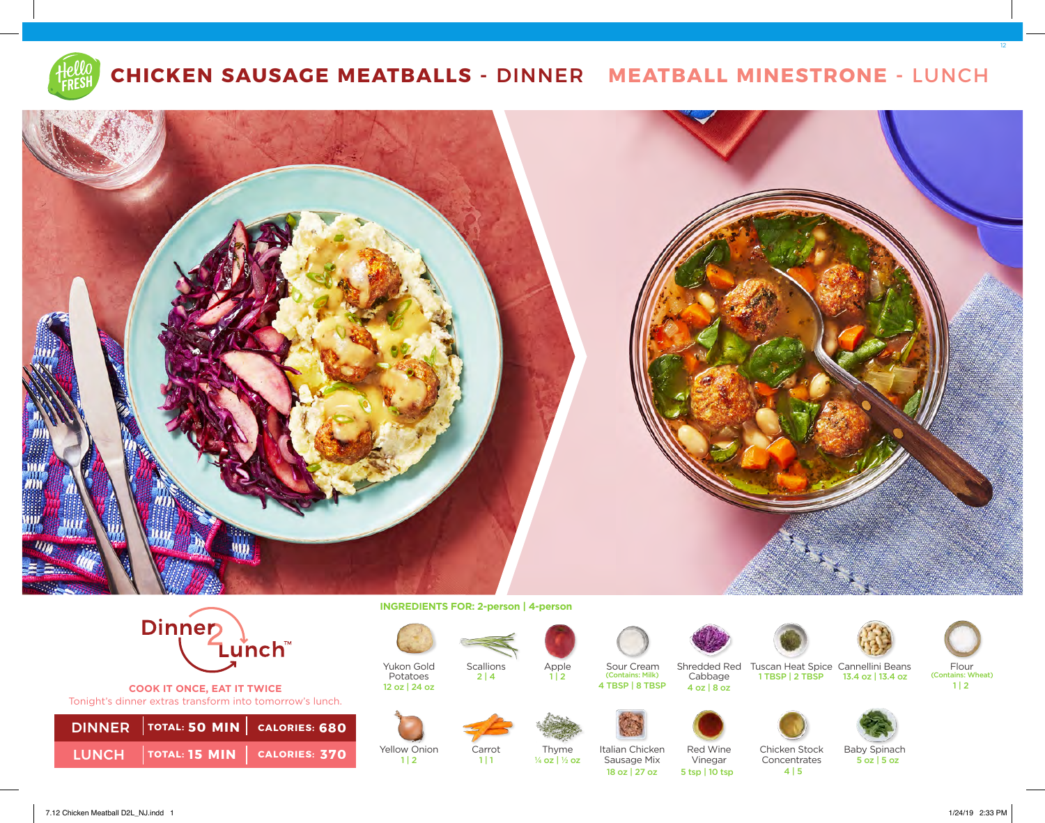

## **CHICKEN SAUSAGE MEATBALLS -** DINNER **MEATBALL MINESTRONE -** LUNCH





**COOK IT ONCE, EAT IT TWICE**  Tonight's dinner extras transform into tomorrow's lunch.

| DINNER TOTAL: 50 MIN CALORIES: 680  |  |
|-------------------------------------|--|
| LUNCH TOTAL: 15 MIN   CALORIES: 370 |  |

**INGREDIENTS FOR: 2-person | 4-person** 





Carrot

 $1 | 1$ 

12 oz | 24 oz

Yukon Gold Potatoes







Apple

 $1 | 2$ 

¼ oz | ½ oz **370**

Italian Chicken Sausage Mix

Sour Cream<br>(Contains: Milk)

4 TBSP | 8 TBSP

Cabbage 4 oz | 8 oz

18 oz | 27 oz 5 tsp | 10 tsp

Red Wine Vinegar



12

Shredded Red Tuscan Heat Spice Cannellini Beans Flour (Contains: Milk) Cabbage 1TBSP | 2 TBSP 13.4 oz | 13.4 oz | Contains: Wheat) 13.4 oz | 13.4 oz

 $1 | 2$ 





Concentrates

 $4|5$ 



Baby Spinach

5 oz | 5 oz

7.12 Chicken Meatball D2L\_NJ.indd 1 1/24/19 2:33 PM